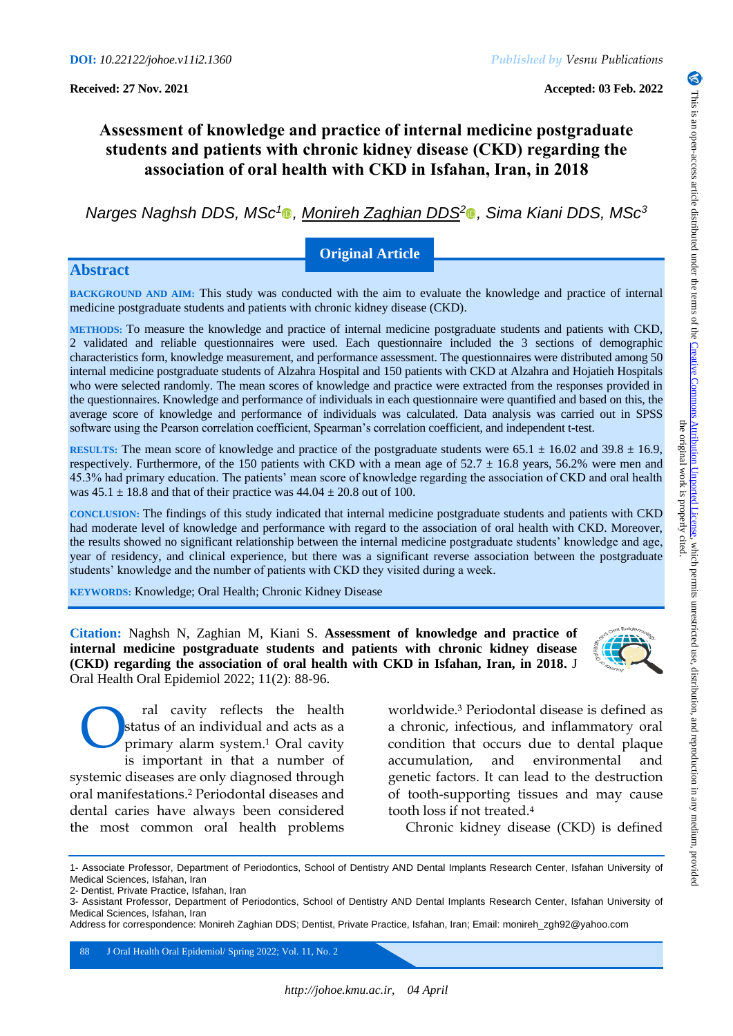# **Assessment of knowledge and practice of internal medicine postgraduate students and patients with chronic kidney disease (CKD) regarding the association of oral health with CKD in Isfahan, Iran, in 2018**

*Narges Naghsh DDS, MSc<sup>1</sup> , Monireh Zaghian DDS[2](https://orcid.org/0000-0002-0383-3505) , Sima Kiani DDS, MSc<sup>3</sup>*

## **Original Article**

## **Abstract**

**BACKGROUND AND AIM:** This study was conducted with the aim to evaluate the knowledge and practice of internal medicine postgraduate students and patients with chronic kidney disease (CKD).

**METHODS:** To measure the knowledge and practice of internal medicine postgraduate students and patients with CKD, 2 validated and reliable questionnaires were used. Each questionnaire included the 3 sections of demographic characteristics form, knowledge measurement, and performance assessment. The questionnaires were distributed among 50 internal medicine postgraduate students of Alzahra Hospital and 150 patients with CKD at Alzahra and Hojatieh Hospitals who were selected randomly. The mean scores of knowledge and practice were extracted from the responses provided in the questionnaires. Knowledge and performance of individuals in each questionnaire were quantified and based on this, the average score of knowledge and performance of individuals was calculated. Data analysis was carried out in SPSS software using the Pearson correlation coefficient, Spearman's correlation coefficient, and independent t-test.

**RESULTS:** The mean score of knowledge and practice of the postgraduate students were  $65.1 \pm 16.02$  and  $39.8 \pm 16.9$ , respectively. Furthermore, of the 150 patients with CKD with a mean age of  $52.7 \pm 16.8$  years, 56.2% were men and 45.3% had primary education. The patients' mean score of knowledge regarding the association of CKD and oral health was  $45.1 \pm 18.8$  and that of their practice was  $44.04 \pm 20.8$  out of 100.

**CONCLUSION:** The findings of this study indicated that internal medicine postgraduate students and patients with CKD had moderate level of knowledge and performance with regard to the association of oral health with CKD. Moreover, the results showed no significant relationship between the internal medicine postgraduate students' knowledge and age, year of residency, and clinical experience, but there was a significant reverse association between the postgraduate students' knowledge and the number of patients with CKD they visited during a week.

**KEYWORDS:** Knowledge; Oral Health; Chronic Kidney Disease

**Citation:** Naghsh N, Zaghian M, Kiani S. **Assessment of knowledge and practice of internal medicine postgraduate students and patients with chronic kidney disease (CKD) regarding the association of oral health with CKD in Isfahan, Iran, in 2018.** J Oral Health Oral Epidemiol 2022; 11(2): 88-96.

ral cavity reflects the health status of an individual and acts as a primary alarm system.<sup>1</sup> Oral cavity is important in that a number of systemic diseases are only diagnosed through oral manifestations.<sup>2</sup> Periodontal diseases and dental caries have always been considered the most common oral health problems O

worldwide.<sup>3</sup> Periodontal disease is defined as a chronic, infectious, and inflammatory oral condition that occurs due to dental plaque accumulation, and environmental and genetic factors. It can lead to the destruction of tooth-supporting tissues and may cause tooth loss if not treated.<sup>4</sup>

Chronic kidney disease (CKD) is defined

88 J Oral Health Oral Epidemiol/ Spring 2022; Vol. 11, No. 2

6

<sup>1-</sup> Associate Professor, Department of Periodontics, School of Dentistry AND Dental Implants Research Center, Isfahan University of Medical Sciences, Isfahan, Iran

<sup>2-</sup> Dentist, Private Practice, Isfahan, Iran

<sup>3-</sup> Assistant Professor, Department of Periodontics, School of Dentistry AND Dental Implants Research Center, Isfahan University of Medical Sciences, Isfahan, Iran

Address for correspondence: Monireh Zaghian DDS; Dentist, Private Practice, Isfahan, Iran; Email: monireh\_zgh92@yahoo.com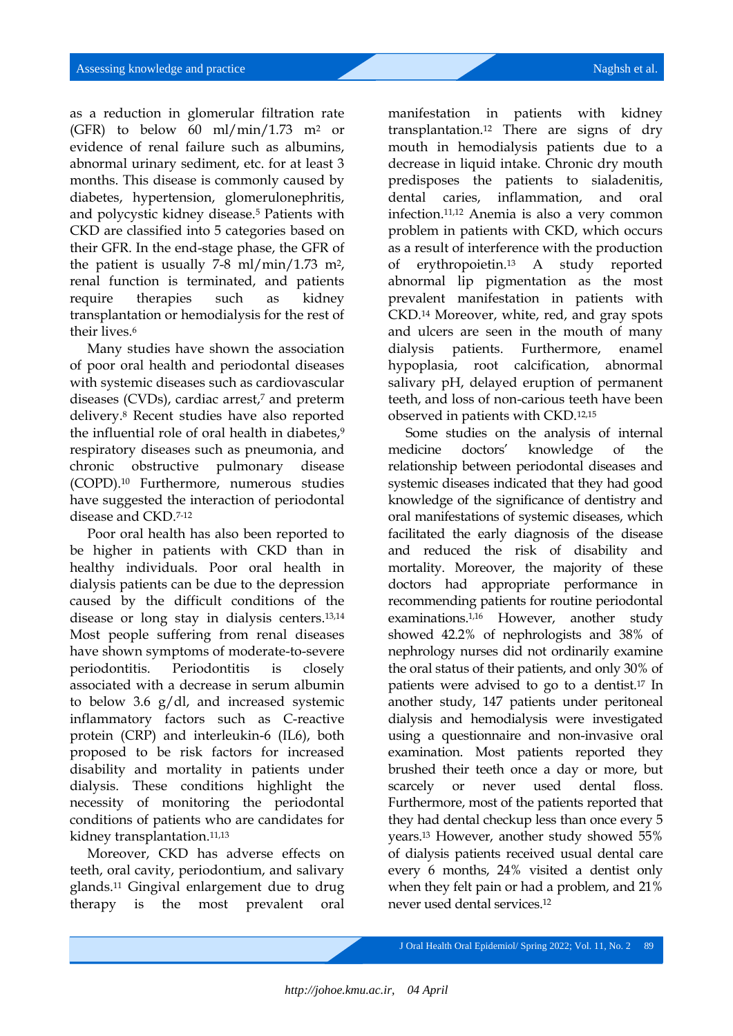as a reduction in glomerular filtration rate (GFR) to below 60 ml/min/1.73 m<sup>2</sup> or evidence of renal failure such as albumins, abnormal urinary sediment, etc. for at least 3 months. This disease is commonly caused by diabetes, hypertension, glomerulonephritis, and polycystic kidney disease.<sup>5</sup> Patients with CKD are classified into 5 categories based on their GFR. In the end-stage phase, the GFR of the patient is usually 7-8 ml/min/1.73 m<sup>2</sup>, renal function is terminated, and patients require therapies such as kidney transplantation or hemodialysis for the rest of their lives.<sup>6</sup>

Many studies have shown the association of poor oral health and periodontal diseases with systemic diseases such as cardiovascular diseases (CVDs), cardiac arrest,<sup>7</sup> and preterm delivery.<sup>8</sup> Recent studies have also reported the influential role of oral health in diabetes,<sup>9</sup> respiratory diseases such as pneumonia, and chronic obstructive pulmonary disease (COPD).<sup>10</sup> Furthermore, numerous studies have suggested the interaction of periodontal disease and CKD.7-12

Poor oral health has also been reported to be higher in patients with CKD than in healthy individuals. Poor oral health in dialysis patients can be due to the depression caused by the difficult conditions of the disease or long stay in dialysis centers.13,14 Most people suffering from renal diseases have shown symptoms of moderate-to-severe periodontitis. Periodontitis is closely associated with a decrease in serum albumin to below 3.6 g/dl, and increased systemic inflammatory factors such as C-reactive protein (CRP) and interleukin-6 (IL6), both proposed to be risk factors for increased disability and mortality in patients under dialysis. These conditions highlight the necessity of monitoring the periodontal conditions of patients who are candidates for kidney transplantation.<sup>11,13</sup>

Moreover, CKD has adverse effects on teeth, oral cavity, periodontium, and salivary glands.<sup>11</sup> Gingival enlargement due to drug therapy is the most prevalent oral

manifestation in patients with kidney transplantation.<sup>12</sup> There are signs of dry mouth in hemodialysis patients due to a decrease in liquid intake. Chronic dry mouth predisposes the patients to sialadenitis, dental caries, inflammation, and oral infection.11,12 Anemia is also a very common problem in patients with CKD, which occurs as a result of interference with the production of erythropoietin.<sup>13</sup> A study reported abnormal lip pigmentation as the most prevalent manifestation in patients with CKD.<sup>14</sup> Moreover, white, red, and gray spots and ulcers are seen in the mouth of many dialysis patients. Furthermore, enamel hypoplasia, root calcification, abnormal salivary pH, delayed eruption of permanent teeth, and loss of non-carious teeth have been observed in patients with CKD.12,15

Some studies on the analysis of internal medicine doctors' knowledge of the relationship between periodontal diseases and systemic diseases indicated that they had good knowledge of the significance of dentistry and oral manifestations of systemic diseases, which facilitated the early diagnosis of the disease and reduced the risk of disability and mortality. Moreover, the majority of these doctors had appropriate performance in recommending patients for routine periodontal examinations.<sup>1,16</sup> However, another study showed 42.2% of nephrologists and 38% of nephrology nurses did not ordinarily examine the oral status of their patients, and only 30% of patients were advised to go to a dentist.<sup>17</sup> In another study, 147 patients under peritoneal dialysis and hemodialysis were investigated using a questionnaire and non-invasive oral examination. Most patients reported they brushed their teeth once a day or more, but scarcely or never used dental floss. Furthermore, most of the patients reported that they had dental checkup less than once every 5 years.<sup>13</sup> However, another study showed 55% of dialysis patients received usual dental care every 6 months, 24% visited a dentist only when they felt pain or had a problem, and 21% never used dental services.12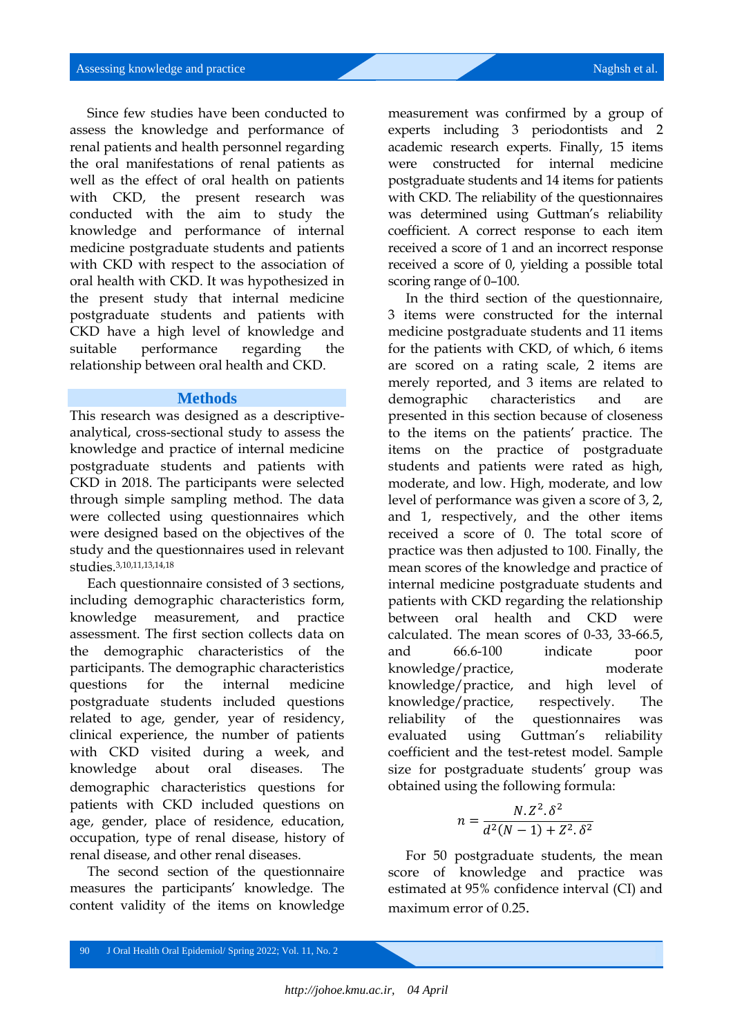Since few studies have been conducted to assess the knowledge and performance of renal patients and health personnel regarding the oral manifestations of renal patients as well as the effect of oral health on patients with CKD, the present research was conducted with the aim to study the knowledge and performance of internal medicine postgraduate students and patients with CKD with respect to the association of oral health with CKD. It was hypothesized in the present study that internal medicine postgraduate students and patients with CKD have a high level of knowledge and suitable performance regarding the relationship between oral health and CKD.

#### **Methods**

This research was designed as a descriptiveanalytical, cross-sectional study to assess the knowledge and practice of internal medicine postgraduate students and patients with CKD in 2018. The participants were selected through simple sampling method. The data were collected using questionnaires which were designed based on the objectives of the study and the questionnaires used in relevant studies.3,10,11,13,14,18

Each questionnaire consisted of 3 sections, including demographic characteristics form, knowledge measurement, and practice assessment. The first section collects data on the demographic characteristics of the participants. The demographic characteristics questions for the internal medicine postgraduate students included questions related to age, gender, year of residency, clinical experience, the number of patients with CKD visited during a week, and knowledge about oral diseases. The demographic characteristics questions for patients with CKD included questions on age, gender, place of residence, education, occupation, type of renal disease, history of renal disease, and other renal diseases.

The second section of the questionnaire measures the participants' knowledge. The content validity of the items on knowledge

measurement was confirmed by a group of experts including 3 periodontists and 2 academic research experts. Finally, 15 items were constructed for internal medicine postgraduate students and 14 items for patients with CKD. The reliability of the questionnaires was determined using Guttman's reliability coefficient. A correct response to each item received a score of 1 and an incorrect response received a score of 0, yielding a possible total scoring range of 0–100.

In the third section of the questionnaire, 3 items were constructed for the internal medicine postgraduate students and 11 items for the patients with CKD, of which, 6 items are scored on a rating scale, 2 items are merely reported, and 3 items are related to demographic characteristics and are presented in this section because of closeness to the items on the patients' practice. The items on the practice of postgraduate students and patients were rated as high, moderate, and low. High, moderate, and low level of performance was given a score of 3, 2, and 1, respectively, and the other items received a score of 0. The total score of practice was then adjusted to 100. Finally, the mean scores of the knowledge and practice of internal medicine postgraduate students and patients with CKD regarding the relationship between oral health and CKD were calculated. The mean scores of 0-33, 33-66.5, and 66.6-100 indicate poor knowledge/practice, moderate knowledge/practice, and high level of knowledge/practice, respectively. The reliability of the questionnaires was evaluated using Guttman's reliability coefficient and the test-retest model. Sample size for postgraduate students' group was obtained using the following formula:

$$
n = \frac{N \cdot Z^2 \cdot \delta^2}{d^2(N-1) + Z^2 \cdot \delta^2}
$$

For 50 postgraduate students, the mean score of knowledge and practice was estimated at 95% confidence interval (CI) and maximum error of 0.25.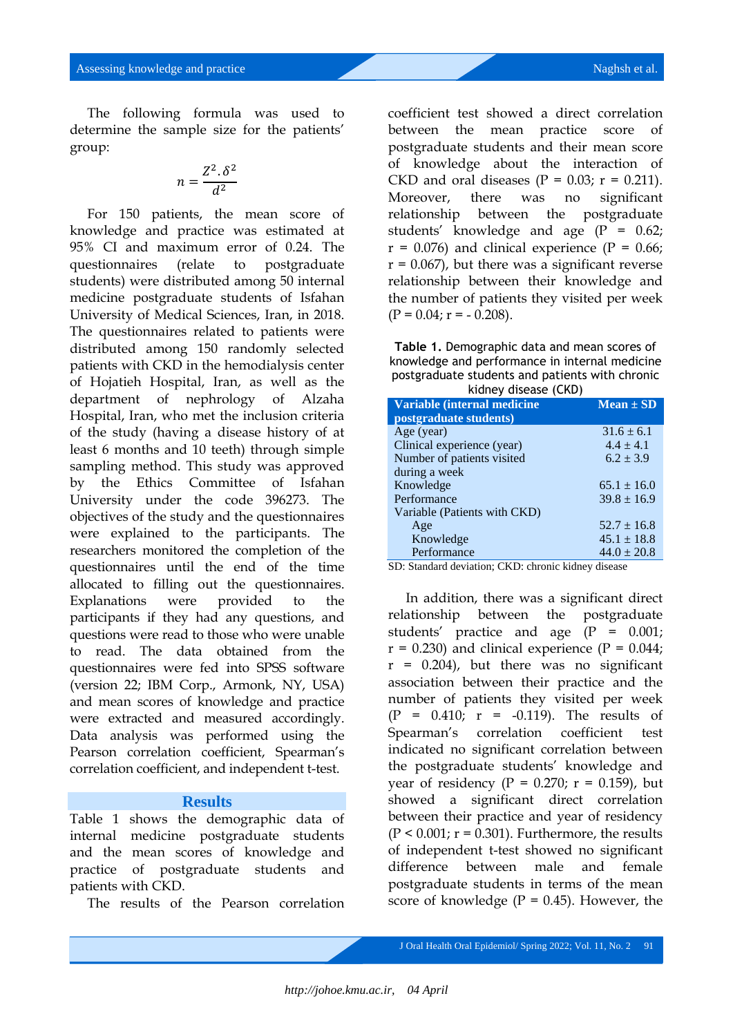The following formula was used to determine the sample size for the patients' group:

$$
n = \frac{Z^2 \cdot \delta^2}{d^2}
$$

For 150 patients, the mean score of knowledge and practice was estimated at 95% CI and maximum error of 0.24. The questionnaires (relate to postgraduate students) were distributed among 50 internal medicine postgraduate students of Isfahan University of Medical Sciences, Iran, in 2018. The questionnaires related to patients were distributed among 150 randomly selected patients with CKD in the hemodialysis center of Hojatieh Hospital, Iran, as well as the department of nephrology of Alzaha Hospital, Iran, who met the inclusion criteria of the study (having a disease history of at least 6 months and 10 teeth) through simple sampling method. This study was approved by the Ethics Committee of Isfahan University under the code 396273. The objectives of the study and the questionnaires were explained to the participants. The researchers monitored the completion of the questionnaires until the end of the time allocated to filling out the questionnaires. Explanations were provided to the participants if they had any questions, and questions were read to those who were unable to read. The data obtained from the questionnaires were fed into SPSS software (version 22; IBM Corp., Armonk, NY, USA) and mean scores of knowledge and practice were extracted and measured accordingly. Data analysis was performed using the Pearson correlation coefficient, Spearman's correlation coefficient, and independent t-test.

## **Results**

Table 1 shows the demographic data of internal medicine postgraduate students and the mean scores of knowledge and practice of postgraduate students and patients with CKD.

The results of the Pearson correlation

coefficient test showed a direct correlation between the mean practice score of postgraduate students and their mean score of knowledge about the interaction of CKD and oral diseases ( $P = 0.03$ ;  $r = 0.211$ ). Moreover, there was no significant relationship between the postgraduate students' knowledge and age  $(P = 0.62)$ ;  $r = 0.076$ ) and clinical experience (P = 0.66;  $r = 0.067$ , but there was a significant reverse relationship between their knowledge and the number of patients they visited per week  $(P = 0.04; r = -0.208)$ .

**Table 1.** Demographic data and mean scores of knowledge and performance in internal medicine postgraduate students and patients with chronic kidney disease (CKD)

| <b>NIGHT CISTAN I CITY</b>   |                 |
|------------------------------|-----------------|
| Variable (internal medicine  | $Mean \pm SD$   |
| postgraduate students)       |                 |
| Age (year)                   | $31.6 \pm 6.1$  |
| Clinical experience (year)   | $4.4 \pm 4.1$   |
| Number of patients visited   | $6.2 \pm 3.9$   |
| during a week                |                 |
| Knowledge                    | $65.1 \pm 16.0$ |
| Performance                  | $39.8 \pm 16.9$ |
| Variable (Patients with CKD) |                 |
| Age                          | $52.7 \pm 16.8$ |
| Knowledge                    | $45.1 \pm 18.8$ |
| Performance                  | $44.0 \pm 20.8$ |

SD: Standard deviation; CKD: chronic kidney disease

In addition, there was a significant direct relationship between the postgraduate students' practice and age (P = 0.001;  $r = 0.230$ ) and clinical experience (P = 0.044;  $r = 0.204$ , but there was no significant association between their practice and the number of patients they visited per week (P = 0.410; r = -0.119). The results of Spearman's correlation coefficient test indicated no significant correlation between the postgraduate students' knowledge and year of residency ( $P = 0.270$ ;  $r = 0.159$ ), but showed a significant direct correlation between their practice and year of residency  $(P < 0.001; r = 0.301)$ . Furthermore, the results of independent t-test showed no significant difference between male and female postgraduate students in terms of the mean score of knowledge  $(P = 0.45)$ . However, the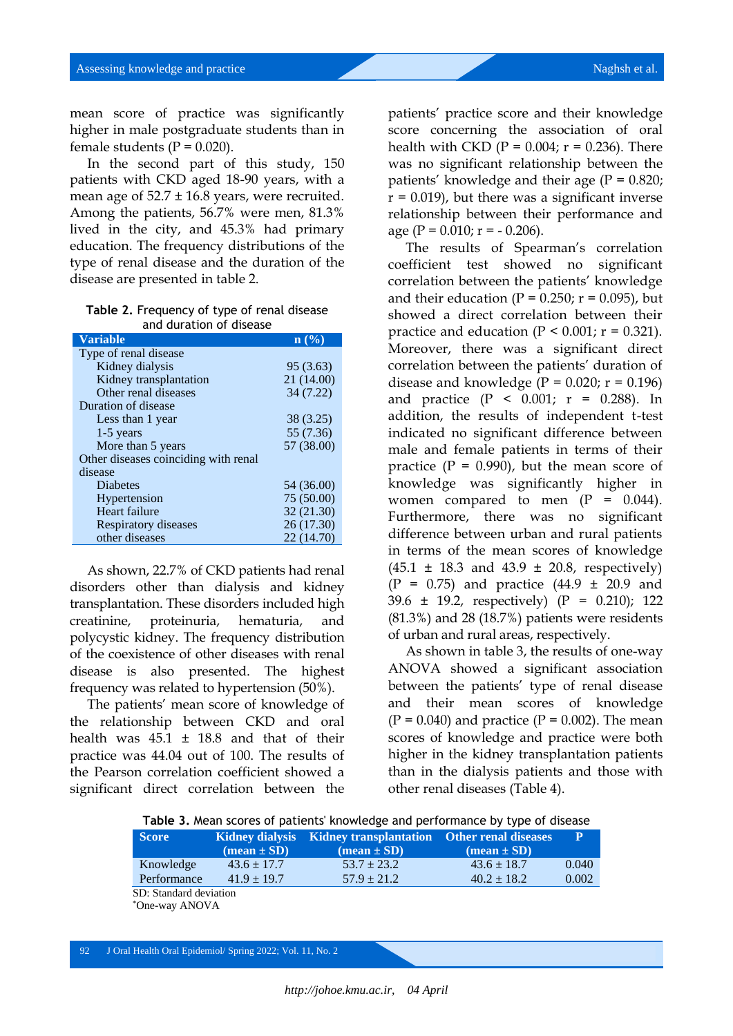mean score of practice was significantly higher in male postgraduate students than in female students ( $P = 0.020$ ).

In the second part of this study, 150 patients with CKD aged 18-90 years, with a mean age of  $52.7 \pm 16.8$  years, were recruited. Among the patients, 56.7% were men, 81.3% lived in the city, and 45.3% had primary education. The frequency distributions of the type of renal disease and the duration of the disease are presented in table 2.

**Table 2.** Frequency of type of renal disease and duration of disease

| <b>Variable</b>                      | $\mathbf{n}$ (%) |
|--------------------------------------|------------------|
| Type of renal disease                |                  |
| Kidney dialysis                      | 95 (3.63)        |
| Kidney transplantation               | 21 (14.00)       |
| Other renal diseases                 | 34 (7.22)        |
| Duration of disease                  |                  |
| Less than 1 year                     | 38 (3.25)        |
| $1-5$ years                          | 55 (7.36)        |
| More than 5 years                    | 57 (38.00)       |
| Other diseases coinciding with renal |                  |
| disease                              |                  |
| Diabetes                             | 54 (36.00)       |
| Hypertension                         | 75 (50.00)       |
| Heart failure                        | 32(21.30)        |
| Respiratory diseases                 | 26 (17.30)       |
| other diseases                       | 22 (14.70)       |

As shown, 22.7% of CKD patients had renal disorders other than dialysis and kidney transplantation. These disorders included high creatinine, proteinuria, hematuria, and polycystic kidney. The frequency distribution of the coexistence of other diseases with renal disease is also presented. The highest frequency was related to hypertension (50%).

The patients' mean score of knowledge of the relationship between CKD and oral health was  $45.1 \pm 18.8$  and that of their practice was 44.04 out of 100. The results of the Pearson correlation coefficient showed a significant direct correlation between the

patients' practice score and their knowledge score concerning the association of oral health with CKD ( $P = 0.004$ ;  $r = 0.236$ ). There was no significant relationship between the patients' knowledge and their age  $(P = 0.820)$ ;  $r = 0.019$ , but there was a significant inverse relationship between their performance and age ( $P = 0.010$ ;  $r = -0.206$ ).

The results of Spearman's correlation coefficient test showed no significant correlation between the patients' knowledge and their education ( $P = 0.250$ ;  $r = 0.095$ ), but showed a direct correlation between their practice and education ( $P < 0.001$ ;  $r = 0.321$ ). Moreover, there was a significant direct correlation between the patients' duration of disease and knowledge  $(P = 0.020; r = 0.196)$ and practice  $(P < 0.001; r = 0.288)$ . In addition, the results of independent t-test indicated no significant difference between male and female patients in terms of their practice  $(P = 0.990)$ , but the mean score of knowledge was significantly higher in women compared to men  $(P = 0.044)$ . Furthermore, there was no significant difference between urban and rural patients in terms of the mean scores of knowledge  $(45.1 \pm 18.3 \text{ and } 43.9 \pm 20.8 \text{, respectively})$  $(P = 0.75)$  and practice  $(44.9 \pm 20.9)$  and 39.6 ± 19.2, respectively) (P = 0.210); 122 (81.3%) and 28 (18.7%) patients were residents of urban and rural areas, respectively.

As shown in table 3, the results of one-way ANOVA showed a significant association between the patients' type of renal disease and their mean scores of knowledge  $(P = 0.040)$  and practice  $(P = 0.002)$ . The mean scores of knowledge and practice were both higher in the kidney transplantation patients than in the dialysis patients and those with other renal diseases (Table 4).

| Table 3. Mean scores of patients' knowledge and performance by type of disease |                                    |                                                                                              |                                    |                |  |  |
|--------------------------------------------------------------------------------|------------------------------------|----------------------------------------------------------------------------------------------|------------------------------------|----------------|--|--|
| <b>Score</b>                                                                   | $(\text{mean} \pm \text{SD})$      | Kidney dialysis Kidney transplantation Other renal diseases<br>$(\text{mean} \pm \text{SD})$ | $(\text{mean} \pm \text{SD})$      | $\mathbf{P}$   |  |  |
| Knowledge<br>Performance                                                       | $43.6 \pm 17.7$<br>$41.9 \pm 19.7$ | $53.7 \pm 23.2$<br>$57.9 \pm 21.2$                                                           | $43.6 \pm 18.7$<br>$40.2 \pm 18.2$ | 0.040<br>0.002 |  |  |
| SD: Standard deviation<br>*One-way ANOVA                                       |                                    |                                                                                              |                                    |                |  |  |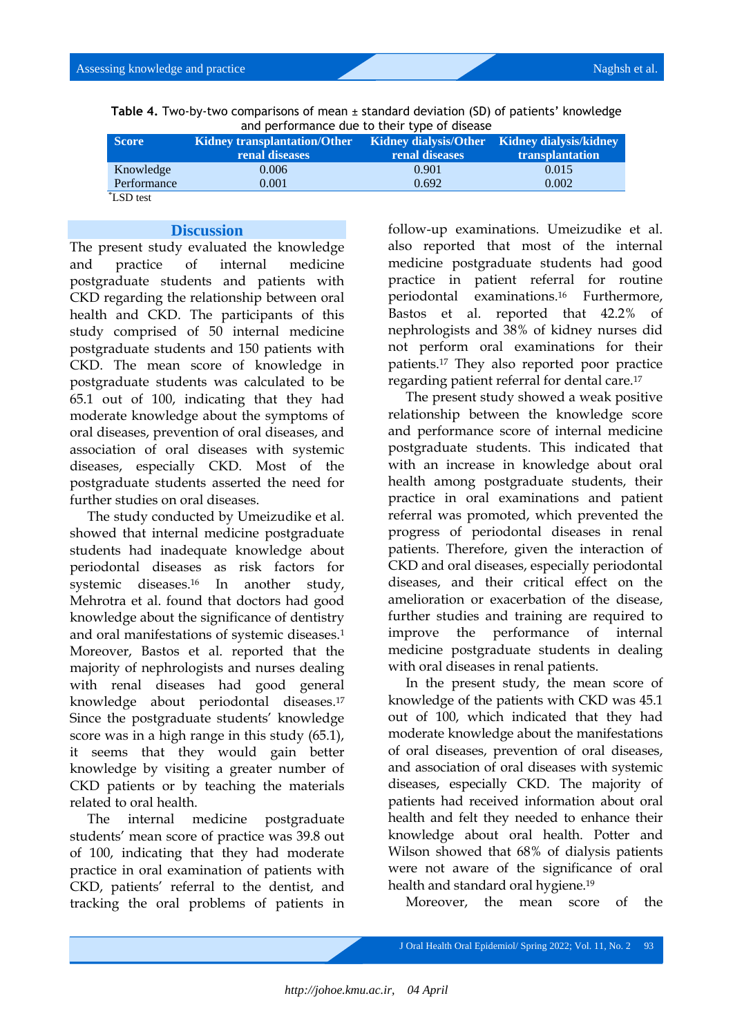| Table 4. Two-by-two comparisons of mean $\pm$ standard deviation (SD) of patients' knowledge |  |
|----------------------------------------------------------------------------------------------|--|
| and performance due to their type of disease                                                 |  |

| <b>Score</b> | <b>Kidney transplantation/Other</b><br>renal diseases | renal diseases | Kidney dialysis/Other Kidney dialysis/kidney<br><b>transplantation</b> |
|--------------|-------------------------------------------------------|----------------|------------------------------------------------------------------------|
| Knowledge    | 0.006                                                 | 0.901          | 0.015                                                                  |
| Performance  | 0.001                                                 | 0.692          | 0.002                                                                  |
| *LSD test    |                                                       |                |                                                                        |

#### **Discussion**

The present study evaluated the knowledge and practice of internal medicine postgraduate students and patients with CKD regarding the relationship between oral health and CKD. The participants of this study comprised of 50 internal medicine postgraduate students and 150 patients with CKD. The mean score of knowledge in postgraduate students was calculated to be 65.1 out of 100, indicating that they had moderate knowledge about the symptoms of oral diseases, prevention of oral diseases, and association of oral diseases with systemic diseases, especially CKD. Most of the postgraduate students asserted the need for further studies on oral diseases.

The study conducted by Umeizudike et al. showed that internal medicine postgraduate students had inadequate knowledge about periodontal diseases as risk factors for systemic diseases.<sup>16</sup> In another study, Mehrotra et al. found that doctors had good knowledge about the significance of dentistry and oral manifestations of systemic diseases.<sup>1</sup> Moreover, Bastos et al. reported that the majority of nephrologists and nurses dealing with renal diseases had good general knowledge about periodontal diseases.<sup>17</sup> Since the postgraduate students' knowledge score was in a high range in this study (65.1), it seems that they would gain better knowledge by visiting a greater number of CKD patients or by teaching the materials related to oral health.

The internal medicine postgraduate students' mean score of practice was 39.8 out of 100, indicating that they had moderate practice in oral examination of patients with CKD, patients' referral to the dentist, and tracking the oral problems of patients in

follow-up examinations. Umeizudike et al. also reported that most of the internal medicine postgraduate students had good practice in patient referral for routine periodontal examinations.<sup>16</sup> Furthermore, Bastos et al. reported that 42.2% of nephrologists and 38% of kidney nurses did not perform oral examinations for their patients.<sup>17</sup> They also reported poor practice regarding patient referral for dental care.<sup>17</sup>

The present study showed a weak positive relationship between the knowledge score and performance score of internal medicine postgraduate students. This indicated that with an increase in knowledge about oral health among postgraduate students, their practice in oral examinations and patient referral was promoted, which prevented the progress of periodontal diseases in renal patients. Therefore, given the interaction of CKD and oral diseases, especially periodontal diseases, and their critical effect on the amelioration or exacerbation of the disease, further studies and training are required to improve the performance of internal medicine postgraduate students in dealing with oral diseases in renal patients.

In the present study, the mean score of knowledge of the patients with CKD was 45.1 out of 100, which indicated that they had moderate knowledge about the manifestations of oral diseases, prevention of oral diseases, and association of oral diseases with systemic diseases, especially CKD. The majority of patients had received information about oral health and felt they needed to enhance their knowledge about oral health. Potter and Wilson showed that 68% of dialysis patients were not aware of the significance of oral health and standard oral hygiene.<sup>19</sup>

Moreover, the mean score of the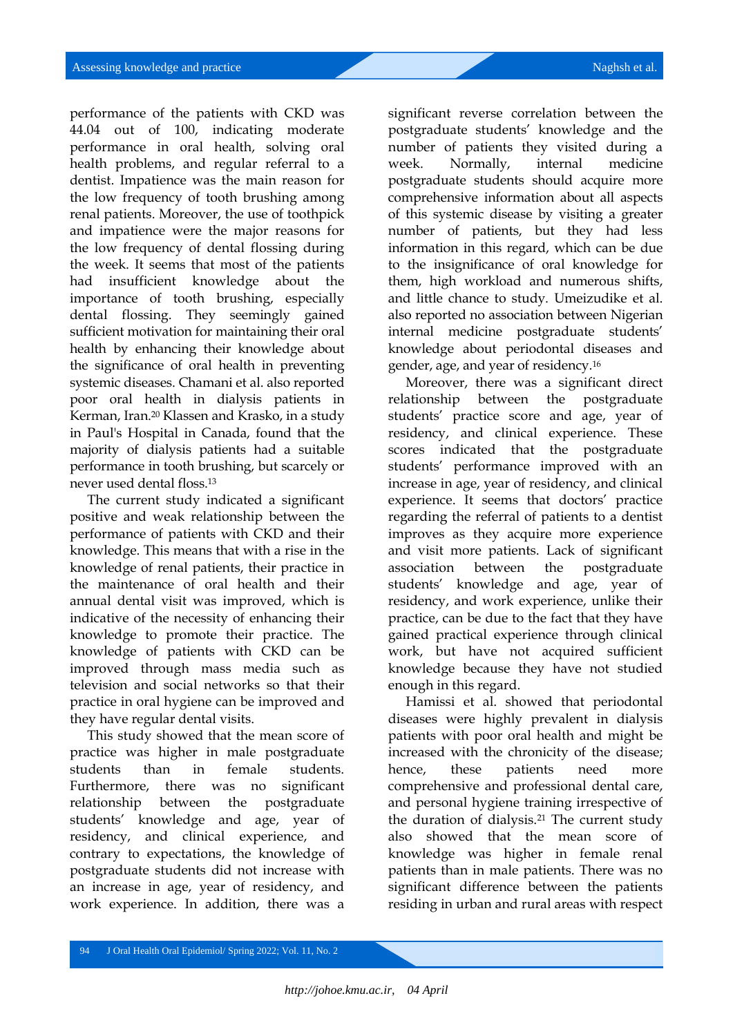performance of the patients with CKD was 44.04 out of 100, indicating moderate performance in oral health, solving oral health problems, and regular referral to a dentist. Impatience was the main reason for the low frequency of tooth brushing among renal patients. Moreover, the use of toothpick and impatience were the major reasons for the low frequency of dental flossing during the week. It seems that most of the patients had insufficient knowledge about the importance of tooth brushing, especially dental flossing. They seemingly gained sufficient motivation for maintaining their oral health by enhancing their knowledge about the significance of oral health in preventing systemic diseases. Chamani et al. also reported poor oral health in dialysis patients in Kerman, Iran.<sup>20</sup> Klassen and Krasko, in a study in Paul's Hospital in Canada, found that the majority of dialysis patients had a suitable performance in tooth brushing, but scarcely or never used dental floss.<sup>13</sup>

The current study indicated a significant positive and weak relationship between the performance of patients with CKD and their knowledge. This means that with a rise in the knowledge of renal patients, their practice in the maintenance of oral health and their annual dental visit was improved, which is indicative of the necessity of enhancing their knowledge to promote their practice. The knowledge of patients with CKD can be improved through mass media such as television and social networks so that their practice in oral hygiene can be improved and they have regular dental visits.

This study showed that the mean score of practice was higher in male postgraduate students than in female students. Furthermore, there was no significant relationship between the postgraduate students' knowledge and age, year of residency, and clinical experience, and contrary to expectations, the knowledge of postgraduate students did not increase with an increase in age, year of residency, and work experience. In addition, there was a

significant reverse correlation between the postgraduate students' knowledge and the number of patients they visited during a week. Normally, internal medicine postgraduate students should acquire more comprehensive information about all aspects of this systemic disease by visiting a greater number of patients, but they had less information in this regard, which can be due to the insignificance of oral knowledge for them, high workload and numerous shifts, and little chance to study. Umeizudike et al. also reported no association between Nigerian internal medicine postgraduate students' knowledge about periodontal diseases and gender, age, and year of residency.<sup>16</sup>

Moreover, there was a significant direct relationship between the postgraduate students' practice score and age, year of residency, and clinical experience. These scores indicated that the postgraduate students' performance improved with an increase in age, year of residency, and clinical experience. It seems that doctors' practice regarding the referral of patients to a dentist improves as they acquire more experience and visit more patients. Lack of significant association between the postgraduate students' knowledge and age, year of residency, and work experience, unlike their practice, can be due to the fact that they have gained practical experience through clinical work, but have not acquired sufficient knowledge because they have not studied enough in this regard.

Hamissi et al. showed that periodontal diseases were highly prevalent in dialysis patients with poor oral health and might be increased with the chronicity of the disease; hence, these patients need more comprehensive and professional dental care, and personal hygiene training irrespective of the duration of dialysis.<sup>21</sup> The current study also showed that the mean score of knowledge was higher in female renal patients than in male patients. There was no significant difference between the patients residing in urban and rural areas with respect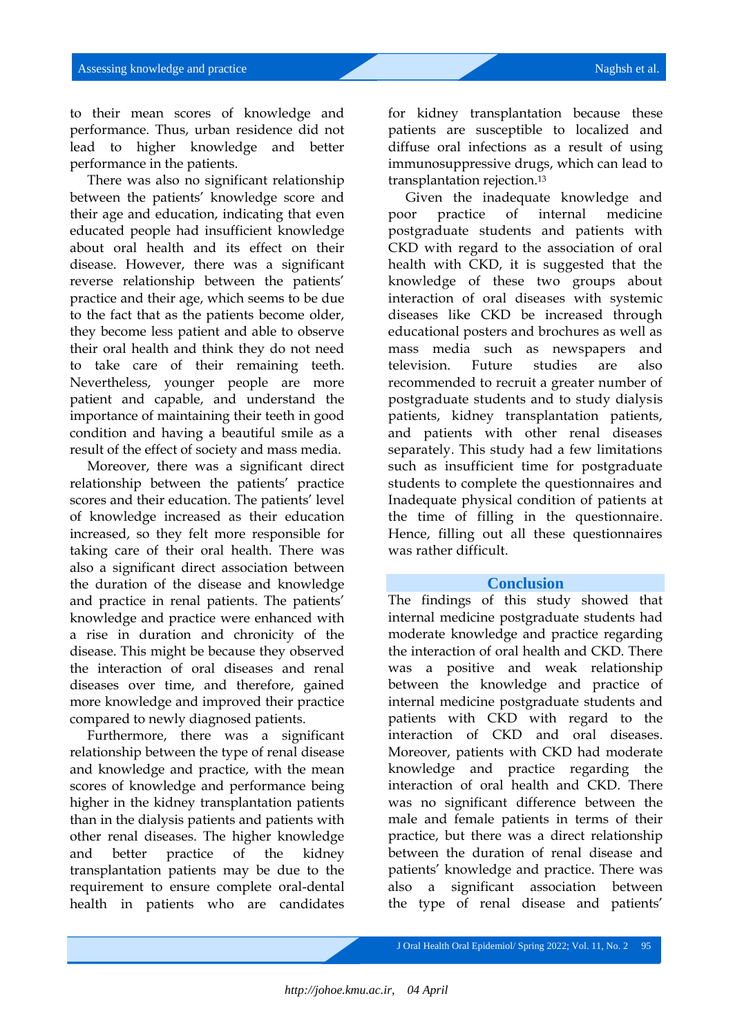to their mean scores of knowledge and performance. Thus, urban residence did not lead to higher knowledge and better performance in the patients.

There was also no significant relationship between the patients' knowledge score and their age and education, indicating that even educated people had insufficient knowledge about oral health and its effect on their disease. However, there was a significant reverse relationship between the patients' practice and their age, which seems to be due to the fact that as the patients become older, they become less patient and able to observe their oral health and think they do not need to take care of their remaining teeth. Nevertheless, younger people are more patient and capable, and understand the importance of maintaining their teeth in good condition and having a beautiful smile as a result of the effect of society and mass media.

Moreover, there was a significant direct relationship between the patients' practice scores and their education. The patients' level of knowledge increased as their education increased, so they felt more responsible for taking care of their oral health. There was also a significant direct association between the duration of the disease and knowledge and practice in renal patients. The patients' knowledge and practice were enhanced with a rise in duration and chronicity of the disease. This might be because they observed the interaction of oral diseases and renal diseases over time, and therefore, gained more knowledge and improved their practice compared to newly diagnosed patients.

Furthermore, there was a significant relationship between the type of renal disease and knowledge and practice, with the mean scores of knowledge and performance being higher in the kidney transplantation patients than in the dialysis patients and patients with other renal diseases. The higher knowledge and better practice of the kidney transplantation patients may be due to the requirement to ensure complete oral-dental health in patients who are candidates

for kidney transplantation because these patients are susceptible to localized and diffuse oral infections as a result of using immunosuppressive drugs, which can lead to transplantation rejection.<sup>13</sup>

Given the inadequate knowledge and poor practice of internal medicine postgraduate students and patients with CKD with regard to the association of oral health with CKD, it is suggested that the knowledge of these two groups about interaction of oral diseases with systemic diseases like CKD be increased through educational posters and brochures as well as mass media such as newspapers and television. Future studies are also recommended to recruit a greater number of postgraduate students and to study dialysis patients, kidney transplantation patients, and patients with other renal diseases separately. This study had a few limitations such as insufficient time for postgraduate students to complete the questionnaires and Inadequate physical condition of patients at the time of filling in the questionnaire. Hence, filling out all these questionnaires was rather difficult.

#### **Conclusion**

The findings of this study showed that internal medicine postgraduate students had moderate knowledge and practice regarding the interaction of oral health and CKD. There was a positive and weak relationship between the knowledge and practice of internal medicine postgraduate students and patients with CKD with regard to the interaction of CKD and oral diseases. Moreover, patients with CKD had moderate knowledge and practice regarding the interaction of oral health and CKD. There was no significant difference between the male and female patients in terms of their practice, but there was a direct relationship between the duration of renal disease and patients' knowledge and practice. There was also a significant association between the type of renal disease and patients'